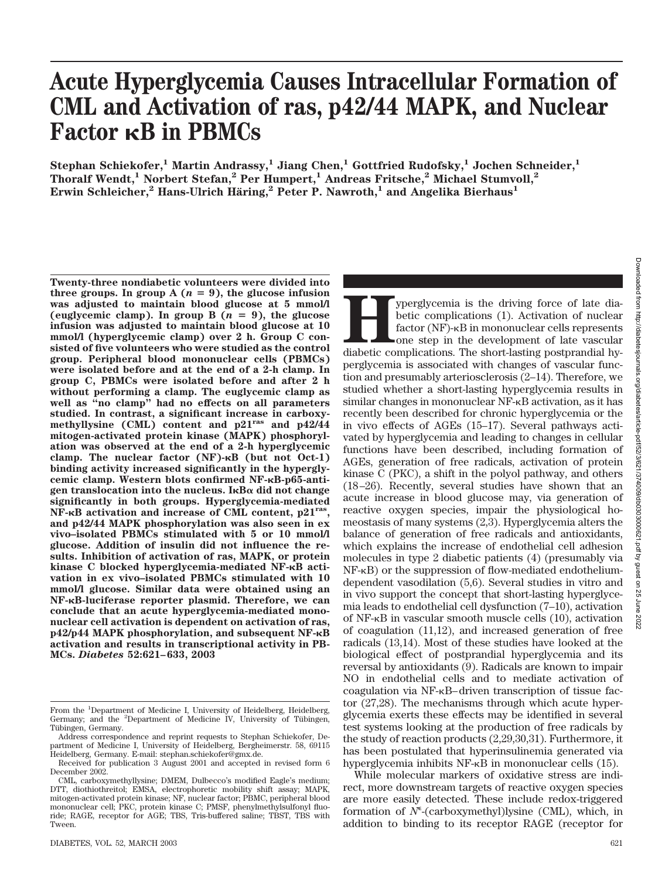# **Acute Hyperglycemia Causes Intracellular Formation of CML and Activation of ras, p42/44 MAPK, and Nuclear Factor RB** in PBMCs

**Stephan Schiekofer,1 Martin Andrassy,1 Jiang Chen,1 Gottfried Rudofsky,1 Jochen Schneider,1 Thoralf Wendt,1 Norbert Stefan,2 Per Humpert,1 Andreas Fritsche,2 Michael Stumvoll,2 Erwin Schleicher,<sup>2</sup> Hans-Ulrich Häring,<sup>2</sup> Peter P. Nawroth,<sup>1</sup> and Angelika Bierhaus<sup>1</sup>** 

**Twenty-three nondiabetic volunteers were divided into** three groups. In group  $A(n = 9)$ , the glucose infusion **was adjusted to maintain blood glucose at 5 mmol/l** (euglycemic clamp). In group  $B(n = 9)$ , the glucose **infusion was adjusted to maintain blood glucose at 10 mmol/l (hyperglycemic clamp) over 2 h. Group C consisted of five volunteers who were studied as the control group. Peripheral blood mononuclear cells (PBMCs) were isolated before and at the end of a 2-h clamp. In group C, PBMCs were isolated before and after 2 h without performing a clamp. The euglycemic clamp as well as "no clamp" had no effects on all parameters studied. In contrast, a significant increase in carboxymethyllysine (CML) content and p21ras and p42/44 mitogen-activated protein kinase (MAPK) phosphorylation was observed at the end of a 2-h hyperglycemic** clamp. The nuclear factor (NF)- $\kappa$ B (but not Oct-1) **binding activity increased significantly in the hypergly**cemic clamp. Western blots confirmed NF- $\kappa$ B-p65-anti $gen$  translocation into the nucleus. I<sub>**KB** $\alpha$ </sub> did not change **significantly in both groups. Hyperglycemia-mediated NF-B activation and increase of CML content, p21ras, and p42/44 MAPK phosphorylation was also seen in ex vivo–isolated PBMCs stimulated with 5 or 10 mmol/l glucose. Addition of insulin did not influence the results. Inhibition of activation of ras, MAPK, or protein kinase C blocked hyperglycemia-mediated NF-B activation in ex vivo–isolated PBMCs stimulated with 10 mmol/l glucose. Similar data were obtained using an NF-B-luciferase reporter plasmid. Therefore, we can conclude that an acute hyperglycemia-mediated mononuclear cell activation is dependent on activation of ras, p42/p44 MAPK phosphorylation, and subsequent NF-B activation and results in transcriptional activity in PB-MCs.** *Diabetes* **52:621–633, 2003**

**Hyperglycemia is the driving force of late diabetic complications** (1). Activation of nuclear factor (NF)- $\kappa$ B in mononuclear cells represents one step in the development of late vascular diabetic complications. The sho betic complications (1). Activation of nuclear factor  $(NF)$ - $\kappa B$  in mononuclear cells represents one step in the development of late vascular perglycemia is associated with changes of vascular function and presumably arteriosclerosis (2–14). Therefore, we studied whether a short-lasting hyperglycemia results in similar changes in mononuclear NF-<sub>K</sub>B activation, as it has recently been described for chronic hyperglycemia or the in vivo effects of AGEs (15–17). Several pathways activated by hyperglycemia and leading to changes in cellular functions have been described, including formation of AGEs, generation of free radicals, activation of protein kinase C (PKC), a shift in the polyol pathway, and others (18–26). Recently, several studies have shown that an acute increase in blood glucose may, via generation of reactive oxygen species, impair the physiological homeostasis of many systems (2,3). Hyperglycemia alters the balance of generation of free radicals and antioxidants, which explains the increase of endothelial cell adhesion molecules in type 2 diabetic patients (4) (presumably via  $NF-kB$ ) or the suppression of flow-mediated endotheliumdependent vasodilation (5,6). Several studies in vitro and in vivo support the concept that short-lasting hyperglycemia leads to endothelial cell dysfunction (7–10), activation of  $NF-\kappa B$  in vascular smooth muscle cells  $(10)$ , activation of coagulation (11,12), and increased generation of free radicals (13,14). Most of these studies have looked at the biological effect of postprandial hyperglycemia and its reversal by antioxidants (9). Radicals are known to impair NO in endothelial cells and to mediate activation of coagulation via NF- $\kappa$ B–driven transcription of tissue factor (27,28). The mechanisms through which acute hyperglycemia exerts these effects may be identified in several test systems looking at the production of free radicals by the study of reaction products (2,29,30,31). Furthermore, it has been postulated that hyperinsulinemia generated via hyperglycemia inhibits  $NF-\kappa B$  in mononuclear cells (15).

While molecular markers of oxidative stress are indirect, more downstream targets of reactive oxygen species are more easily detected. These include redox-triggered formation of  $N^{\epsilon}$ -(carboxymethyl)lysine (CML), which, in addition to binding to its receptor RAGE (receptor for

From the <sup>1</sup>Department of Medicine I, University of Heidelberg, Heidelberg, Germany; and the <sup>2</sup>Department of Medicine IV, University of Tübingen, Tübingen, Germany.

Address correspondence and reprint requests to Stephan Schiekofer, Department of Medicine I, University of Heidelberg, Bergheimerstr. 58, 69115 Heidelberg, Germany. E-mail: stephan.schiekofer@gmx.de.

Received for publication 3 August 2001 and accepted in revised form 6 December 2002.

CML, carboxymethyllysine; DMEM, Dulbecco's modified Eagle's medium; DTT, diothiothreitol; EMSA, electrophoretic mobility shift assay; MAPK, mitogen-activated protein kinase; NF, nuclear factor; PBMC, peripheral blood mononuclear cell; PKC, protein kinase C; PMSF, phenylmethylsulfonyl fluoride; RAGE, receptor for AGE; TBS, Tris-buffered saline; TBST, TBS with Tween.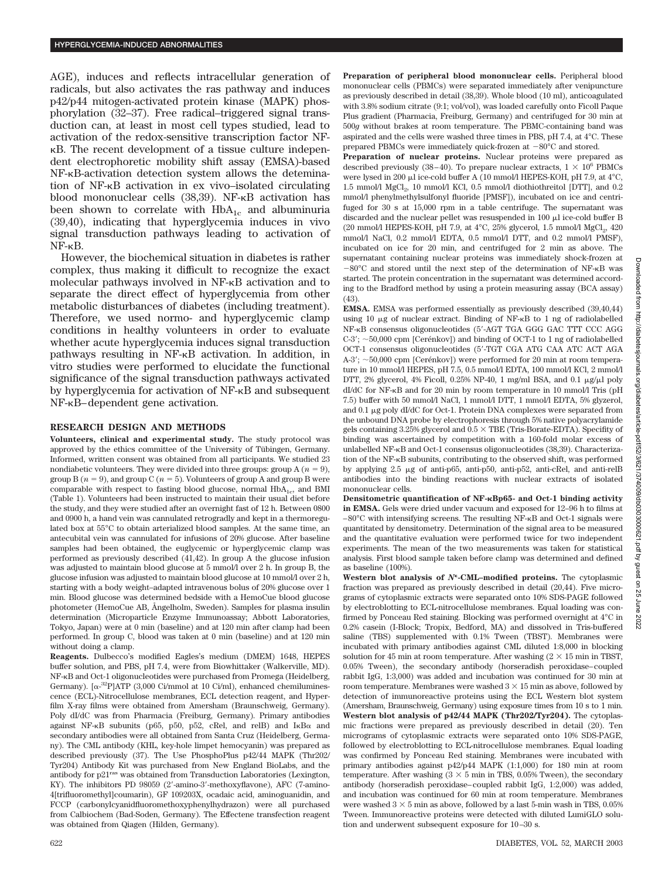AGE), induces and reflects intracellular generation of radicals, but also activates the ras pathway and induces p42/p44 mitogen-activated protein kinase (MAPK) phosphorylation (32–37). Free radical–triggered signal transduction can, at least in most cell types studied, lead to activation of the redox-sensitive transcription factor NF-  $\kappa$ B. The recent development of a tissue culture independent electrophoretic mobility shift assay (EMSA)-based NF- $\kappa$ B-activation detection system allows the detemination of NF- $\kappa$ B activation in ex vivo–isolated circulating blood mononuclear cells (38,39). NF-<sub>K</sub>B activation has been shown to correlate with  $HbA_{1c}$  and albuminuria (39,40), indicating that hyperglycemia induces in vivo signal transduction pathways leading to activation of  $NF-\kappa B$ .

However, the biochemical situation in diabetes is rather complex, thus making it difficult to recognize the exact molecular pathways involved in NF- $\kappa$ B activation and to separate the direct effect of hyperglycemia from other metabolic disturbances of diabetes (including treatment). Therefore, we used normo- and hyperglycemic clamp conditions in healthy volunteers in order to evaluate whether acute hyperglycemia induces signal transduction pathways resulting in  $NF-\kappa B$  activation. In addition, in vitro studies were performed to elucidate the functional significance of the signal transduction pathways activated by hyperglycemia for activation of NF- $\kappa$ B and subsequent  $NF-\kappa B$ –dependent gene activation.

#### **RESEARCH DESIGN AND METHODS**

**Volunteers, clinical and experimental study.** The study protocol was approved by the ethics committee of the University of Tübingen, Germany. Informed, written consent was obtained from all participants. We studied 23 nondiabetic volunteers. They were divided into three groups: group  $A(n = 9)$ , group B  $(n = 9)$ , and group C  $(n = 5)$ . Volunteers of group A and group B were comparable with respect to fasting blood glucose, normal  $HbA_{1c}$ , and BMI (Table 1). Volunteers had been instructed to maintain their usual diet before the study, and they were studied after an overnight fast of 12 h. Between 0800 and 0900 h, a hand vein was cannulated retrogradly and kept in a thermoregulated box at 55°C to obtain arterialized blood samples. At the same time, an antecubital vein was cannulated for infusions of 20% glucose. After baseline samples had been obtained, the euglycemic or hyperglycemic clamp was performed as previously described (41,42). In group A the glucose infusion was adjusted to maintain blood glucose at 5 mmol/l over 2 h. In group B, the glucose infusion was adjusted to maintain blood glucose at 10 mmol/l over 2 h, starting with a body weight–adapted intravenous bolus of 20% glucose over 1 min. Blood glucose was determined bedside with a HemoCue blood glucose photometer (HemoCue AB, Ångelholm, Sweden). Samples for plasma insulin determination (Microparticle Enzyme Immunoassay; Abbott Laboratories, Tokyo, Japan) were at 0 min (baseline) and at 120 min after clamp had been performed. In group C, blood was taken at 0 min (baseline) and at 120 min without doing a clamp.

**Reagents.** Dulbecco's modified Eagles's medium (DMEM) 1648, HEPES buffer solution, and PBS, pH 7.4, were from Biowhittaker (Walkerville, MD). NF-KB and Oct-1 oligonucleotides were purchased from Promega (Heidelberg, Germany). [ $\alpha$ -<sup>32</sup>P]ATP (3,000 Ci/mmol at 10 Ci/ml), enhanced chemiluminescence (ECL)-Nitrocellulose membranes, ECL detection reagent, and Hyperfilm X-ray films were obtained from Amersham (Braunschweig, Germany). Poly dI/dC was from Pharmacia (Freiburg, Germany). Primary antibodies against NF- $\kappa$ B subunits (p65, p50, p52, cRel, and relB) and  $I\kappa$ B $\alpha$  and secondary antibodies were all obtained from Santa Cruz (Heidelberg, Germany). The CML antibody (KHL, key-hole limpet hemocyanin) was prepared as described previously (37). The Use PhosphoPlus p42/44 MAPK (Thr202/ Tyr204) Antibody Kit was purchased from New England BioLabs, and the antibody for p21ras was obtained from Transduction Laboratories (Lexington, KY). The inhibitors PD 98059 (2-amino-3-methoxyflavone), AFC (7-amino-4[trifluoromethyl]coumarin), GF 109203X, ocadaic acid, aminoguanidin, and FCCP (carbonylcyanidfluoromethoxyphenylhydrazon) were all purchased from Calbiochem (Bad-Soden, Germany). The Effectene transfection reagent was obtained from Qiagen (Hilden, Germany).

**Preparation of peripheral blood mononuclear cells.** Peripheral blood mononuclear cells (PBMCs) were separated immediately after venipuncture as previously described in detail (38,39). Whole blood (10 ml), anticoagulated with 3.8% sodium citrate (9:1; vol/vol), was loaded carefully onto Ficoll Paque Plus gradient (Pharmacia, Freiburg, Germany) and centrifuged for 30 min at 500*g* without brakes at room temperature. The PBMC-containing band was aspirated and the cells were washed three times in PBS, pH 7.4, at 4°C. These prepared PBMCs were immediately quick-frozen at  $-80^{\circ}$ C and stored.

**Preparation of nuclear proteins.** Nuclear proteins were prepared as described previously (38–40). To prepare nuclear extracts,  $1 \times 10^6$  PBMCs were lysed in 200 µl ice-cold buffer A (10 mmol/l HEPES-KOH, pH 7.9, at 4°C, 1.5 mmol/l MgCl<sub>2</sub>, 10 mmol/l KCl, 0.5 mmol/l diothiothreitol [DTT], and 0.2 mmol/l phenylmethylsulfonyl fluoride [PMSF]), incubated on ice and centrifuged for 30 s at 15,000 rpm in a table centrifuge. The supernatant was discarded and the nuclear pellet was resuspended in 100  $\mu$ l ice-cold buffer B (20 mmol/l HEPES-KOH, pH 7.9, at  $4^{\circ}$ C, 25% glycerol, 1.5 mmol/l MgCl<sub>2</sub>, 420 mmol/l NaCl, 0.2 mmol/l EDTA, 0.5 mmol/l DTT, and 0.2 mmol/l PMSF), incubated on ice for 20 min, and centrifuged for 2 min as above. The supernatant containing nuclear proteins was immediately shock-frozen at  $-80^{\circ}$ C and stored until the next step of the determination of NF- $\kappa$ B was started. The protein concentration in the supernatant was determined according to the Bradford method by using a protein measuring assay (BCA assay)  $(43)$ .

**EMSA.** EMSA was performed essentially as previously described (39,40,44) using 10 µg of nuclear extract. Binding of NF-KB to 1 ng of radiolabelled NF-KB consensus oligonucleotides (5'-AGT TGA GGG GAC TTT CCC AGG  $C-3'$ ;  $\sim$  50,000 cpm [Cerénkov]) and binding of OCT-1 to 1 ng of radiolabelled OCT-1 consensus oligonucleotides (5-TGT CGA ATG CAA ATC ACT AGA A-3':  $\sim$ 50,000 cpm [Cerénkov]) were performed for 20 min at room temperature in 10 mmol/l HEPES, pH 7.5, 0.5 mmol/l EDTA, 100 mmol/l KCl, 2 mmol/l DTT, 2% glycerol, 4% Ficoll, 0.25% NP-40, 1 mg/ml BSA, and 0.1  $\mu$ g/ $\mu$ l poly dI/dC for NF-KB and for 20 min by room temperature in 10 mmol/l Tris (pH 7.5) buffer with 50 mmol/l NaCl, 1 mmol/l DTT, 1 mmol/l EDTA, 5% glyzerol, and 0.1 µg poly dI/dC for Oct-1. Protein DNA complexes were separated from the unbound DNA probe by electrophoresis through 5% native polyacrylamide gels containing  $3.25\%$  glycerol and  $0.5 \times$  TBE (Tris-Borate-EDTA). Specifity of binding was ascertained by competition with a 160-fold molar excess of unlabelled NF-KB and Oct-1 consensus oligonucleotides (38,39). Characterization of the NF- $\kappa$ B subunits, contributing to the observed shift, was performed by applying  $2.5 \mu$ g of anti-p65, anti-p50, anti-p52, anti-cRel, and anti-relB antibodies into the binding reactions with nuclear extracts of isolated mononuclear cells.

**Densitometric quantification of NF-Bp65- and Oct-1 binding activity in EMSA.** Gels were dried under vacuum and exposed for 12–96 h to films at  $-80^{\circ}$ C with intensifying screens. The resulting NF- $\kappa$ B and Oct-1 signals were quantitated by densitometry. Determination of the signal area to be measured and the quantitative evaluation were performed twice for two independent experiments. The mean of the two measurements was taken for statistical analysis. First blood sample taken before clamp was determined and defined as baseline (100%).

Western blot analysis of  $N^{\epsilon}$ -CML-modified proteins. The cytoplasmic fraction was prepared as previously described in detail (20,44). Five micrograms of cytoplasmic extracts were separated onto 10% SDS-PAGE followed by electroblotting to ECL-nitrocellulose membranes. Equal loading was confirmed by Ponceau Red staining. Blocking was performed overnight at 4°C in 0.2% casein (I-Block; Tropix, Bedford, MA) and dissolved in Tris-buffered saline (TBS) supplemented with 0.1% Tween (TBST). Membranes were incubated with primary antibodies against CML diluted 1:8,000 in blocking solution for 45 min at room temperature. After washing  $(2 \times 15 \text{ min in TBST})$ , 0.05% Tween), the secondary antibody (horseradish peroxidase–coupled rabbit IgG, 1:3,000) was added and incubation was continued for 30 min at room temperature. Membranes were washed  $3 \times 15$  min as above, followed by detection of immunoreactive proteins using the ECL Western blot system (Amersham, Braunschweig, Germany) using exposure times from 10 s to 1 min. **Western blot analysis of p42/44 MAPK (Thr202/Tyr204).** The cytoplasmic fractions were prepared as previously described in detail (20). Ten micrograms of cytoplasmic extracts were separated onto 10% SDS-PAGE, followed by electroblotting to ECL-nitrocellulose membranes. Equal loading was confirmed by Ponceau Red staining. Membranes were incubated with primary antibodies against p42/p44 MAPK (1:1,000) for 180 min at room temperature. After washing  $(3 \times 5 \text{ min in TBS}, 0.05\% \text{ Tween})$ , the secondary antibody (horseradish peroxidase–coupled rabbit IgG, 1:2,000) was added, and incubation was continued for 60 min at room temperature. Membranes were washed  $3 \times 5$  min as above, followed by a last 5-min wash in TBS, 0.05% Tween. Immunoreactive proteins were detected with diluted LumiGLO solution and underwent subsequent exposure for 10–30 s.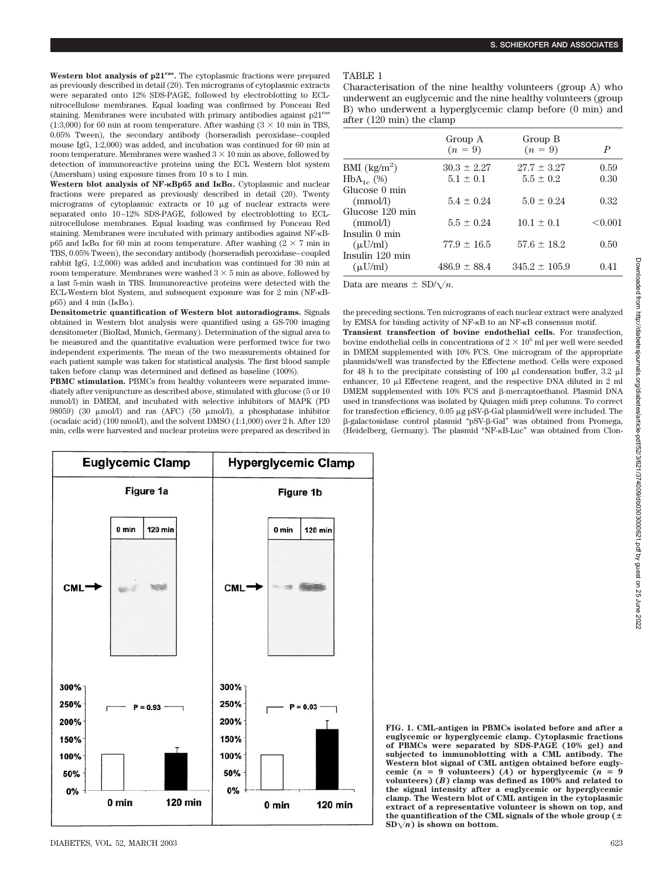**Western blot analysis of p21ras.** The cytoplasmic fractions were prepared as previously described in detail (20). Ten micrograms of cytoplasmic extracts were separated onto 12% SDS-PAGE, followed by electroblotting to ECLnitrocellulose membranes. Equal loading was confirmed by Ponceau Red staining. Membranes were incubated with primary antibodies against p21ras (1:3,000) for 60 min at room temperature. After washing  $(3 \times 10 \text{ min in TBS})$ , 0.05% Tween), the secondary antibody (horseradish peroxidase–coupled mouse IgG, 1:2,000) was added, and incubation was continued for 60 min at room temperature. Membranes were washed  $3 \times 10$  min as above, followed by detection of immunoreactive proteins using the ECL Western blot system (Amersham) using exposure times from 10 s to 1 min.

**Western blot analysis of NF-Bp65 and IB.** Cytoplasmic and nuclear fractions were prepared as previously described in detail (20). Twenty micrograms of cytoplasmic extracts or  $10 \mu$ g of nuclear extracts were separated onto 10–12% SDS-PAGE, followed by electroblotting to ECLnitrocellulose membranes. Equal loading was confirmed by Ponceau Red staining. Membranes were incubated with primary antibodies against NF- $\kappa$ Bp65 and I<sub>K</sub>B $\alpha$  for 60 min at room temperature. After washing (2  $\times$  7 min in TBS, 0.05% Tween), the secondary antibody (horseradish peroxidase–coupled rabbit IgG, 1:2,000) was added and incubation was continued for 30 min at room temperature. Membranes were washed  $3 \times 5$  min as above, followed by a last 5-min wash in TBS. Immunoreactive proteins were detected with the ECL-Western blot System, and subsequent exposure was for 2 min (NF- $\kappa$ B $p(65)$  and 4 min (I<sub>K</sub>B $\alpha$ ).

**Densitometric quantification of Western blot autoradiograms.** Signals obtained in Western blot analysis were quantified using a GS-700 imaging densitometer (BioRad, Munich, Germany). Determination of the signal area to be measured and the quantitative evaluation were performed twice for two independent experiments. The mean of the two measurements obtained for each patient sample was taken for statistical analysis. The first blood sample taken before clamp was determined and defined as baseline (100%).

**PBMC stimulation.** PBMCs from healthy volunteers were separated immediately after venipuncture as described above, stimulated with glucose (5 or 10 mmol/l) in DMEM, and incubated with selective inhibitors of MAPK (PD 98059) (30  $\mu$ mol/l) and ras (AFC) (50  $\mu$ mol/l), a phosphatase inhibitor (ocadaic acid) (100 nmol/l), and the solvent DMSO (1:1,000) over 2 h. After 120 min, cells were harvested and nuclear proteins were prepared as described in

## TABLE 1

Characterisation of the nine healthy volunteers (group A) who underwent an euglycemic and the nine healthy volunteers (group B) who underwent a hyperglycemic clamp before (0 min) and after (120 min) the clamp

|                                    | Group A<br>$(n = 9)$ | Group B<br>$(n = 9)$ | P       |
|------------------------------------|----------------------|----------------------|---------|
| BMI $\frac{\text{kg}}{\text{m}^2}$ | $30.3 \pm 2.27$      | $27.7 \pm 3.27$      | 0.59    |
| $HbA_{1c}$ (%)                     | $5.1 \pm 0.1$        | $5.5 \pm 0.2$        | 0.30    |
| Glucose 0 min                      |                      |                      |         |
| (mmol/l)                           | $5.4 + 0.24$         | $5.0 + 0.24$         | 0.32    |
| Glucose 120 min                    |                      |                      |         |
| (mmol/l)                           | $5.5 + 0.24$         | $10.1 \pm 0.1$       | < 0.001 |
| Insulin 0 min                      |                      |                      |         |
| $(\mu U/ml)$                       | $77.9 \pm 16.5$      | $57.6 \pm 18.2$      | 0.50    |
| Insulin 120 min                    |                      |                      |         |
| $(\mu U/ml)$                       | $486.9 \pm 88.4$     | $345.2 \pm 105.9$    | 0.41    |
|                                    |                      |                      |         |

Data are means  $\pm$  SD/ $\sqrt{n}$ .

the preceding sections. Ten micrograms of each nuclear extract were analyzed by EMSA for binding activity of  $NF-\kappa B$  to an  $NF-\kappa B$  consensus motif. **Transient transfection of bovine endothelial cells.** For transfection, bovine endothelial cells in concentrations of  $2 \times 10^5$  ml per well were seeded in DMEM supplemented with 10% FCS. One microgram of the appropriate plasmids/well was transfected by the Effectene method. Cells were exposed for 48 h to the precipitate consisting of 100  $\mu$ l condensation buffer, 3.2  $\mu$ l enhancer,  $10 \mu$  Effectene reagent, and the respective DNA diluted in 2 ml  $DMEM$  supplemented with 10% FCS and  $\beta$ -mercaptoethanol. Plasmid DNA used in transfections was isolated by Quiagen midi prep columns. To correct for transfection efficiency, 0.05 μg pSV-β-Gal plasmid/well were included. The -galactosidase control plasmid "pSV- -Gal" was obtained from Promega, (Heidelberg, Germany). The plasmid "NF-KB-Luc" was obtained from Clon-



**FIG. 1. CML-antigen in PBMCs isolated before and after a euglycemic or hyperglycemic clamp. Cytoplasmic fractions of PBMCs were separated by SDS-PAGE (10% gel) and subjected to immunoblotting with a CML antibody. The Western blot signal of CML antigen obtained before eugly**cemic ( $n = 9$  volunteers) (*A*) or hyperglycemic ( $n = 9$ **volunteers) (***B***) clamp was defined as 100% and related to the signal intensity after a euglycemic or hyperglycemic clamp. The Western blot of CML antigen in the cytoplasmic extract of a representative volunteer is shown on top, and the quantification of the CML signals of the whole group (**  $SD\sqrt{n}$  is shown on bottom.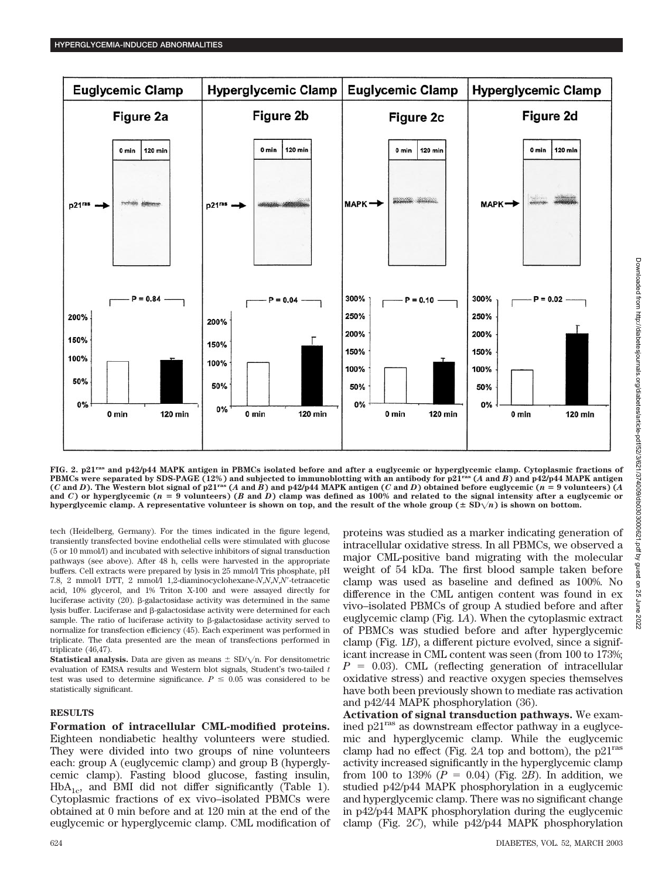

**FIG. 2. p21ras and p42/p44 MAPK antigen in PBMCs isolated before and after a euglycemic or hyperglycemic clamp. Cytoplasmic fractions of PBMCs were separated by SDS-PAGE (12%) and subjected to immunoblotting with an antibody for p21ras (***A* **and** *B***) and p42/p44 MAPK antigen** (C and D). The Western blot signal of p21<sup>ras</sup> (A and B) and p42/p44 MAPK antigen (C and D) obtained before euglycemic (n = 9 volunteers) (A **and** *C***) or hyperglycemic (***n* - **9 volunteers) (***B* **and** *D***) clamp was defined as 100% and related to the signal intensity after a euglycemic or** hyperglycemic clamp. A representative volunteer is shown on top, and the result of the whole group  $(± SD<sub>\sqrt{n})</sub>$  is shown on bottom.

tech (Heidelberg, Germany). For the times indicated in the figure legend, transiently transfected bovine endothelial cells were stimulated with glucose (5 or 10 mmol/l) and incubated with selective inhibitors of signal transduction pathways (see above). After 48 h, cells were harvested in the appropriate buffers. Cell extracts were prepared by lysis in 25 mmol/l Tris phosphate, pH 7.8, 2 mmol/l DTT, 2 mmol/l 1,2-diaminocyclohexane-*N*,*N*,*N*,*N*-tetraacetic acid, 10% glycerol, and 1% Triton X-100 and were assayed directly for luciferase activity (20). β-galactosidase activity was determined in the same lysis buffer. Luciferase and  $\beta$ -galactosidase activity were determined for each sample. The ratio of luciferase activity to  $\beta$ -galactosidase activity served to normalize for transfection efficiency (45). Each experiment was performed in triplicate. The data presented are the mean of transfections performed in triplicate (46,47).

**Statistical analysis.** Data are given as means  $\pm$  SD/ $\sqrt{n}$ . For densitometric evaluation of EMSA results and Western blot signals, Student's two-tailed *t* test was used to determine significance.  $P \leq 0.05$  was considered to be statistically significant.

#### **RESULTS**

**Formation of intracellular CML-modified proteins.** Eighteen nondiabetic healthy volunteers were studied. They were divided into two groups of nine volunteers each: group A (euglycemic clamp) and group B (hyperglycemic clamp). Fasting blood glucose, fasting insulin,  $HbA_{1c}$ , and BMI did not differ significantly (Table 1). Cytoplasmic fractions of ex vivo–isolated PBMCs were obtained at 0 min before and at 120 min at the end of the euglycemic or hyperglycemic clamp. CML modification of proteins was studied as a marker indicating generation of intracellular oxidative stress. In all PBMCs, we observed a major CML-positive band migrating with the molecular weight of 54 kDa. The first blood sample taken before clamp was used as baseline and defined as 100%. No difference in the CML antigen content was found in ex vivo–isolated PBMCs of group A studied before and after euglycemic clamp (Fig. 1*A*). When the cytoplasmic extract of PBMCs was studied before and after hyperglycemic clamp (Fig. 1*B*), a different picture evolved, since a significant increase in CML content was seen (from 100 to 173%;  $P = 0.03$ ). CML (reflecting generation of intracellular oxidative stress) and reactive oxygen species themselves have both been previously shown to mediate ras activation and p42/44 MAPK phosphorylation (36).

**Activation of signal transduction pathways.** We examined p21ras as downstream effector pathway in a euglycemic and hyperglycemic clamp. While the euglycemic clamp had no effect (Fig. 2A top and bottom), the  $p21<sup>ras</sup>$ activity increased significantly in the hyperglycemic clamp from 100 to 139%  $(P = 0.04)$  (Fig. 2*B*). In addition, we studied p42/p44 MAPK phosphorylation in a euglycemic and hyperglycemic clamp. There was no significant change in p42/p44 MAPK phosphorylation during the euglycemic clamp (Fig. 2*C*), while p42/p44 MAPK phosphorylation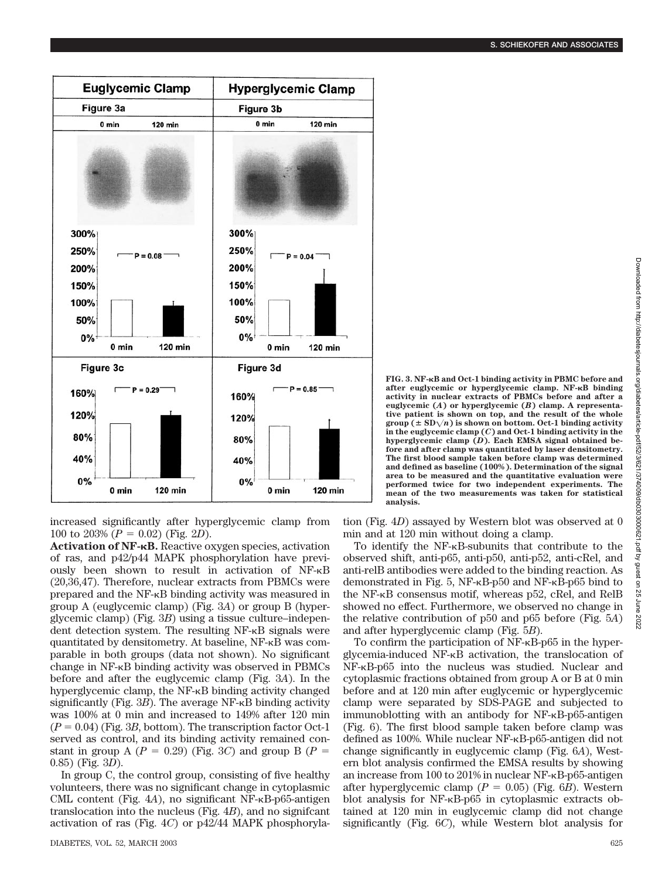

increased significantly after hyperglycemic clamp from 100 to 203%  $(P = 0.02)$  (Fig. 2*D*).

**Activation of NF-B.** Reactive oxygen species, activation of ras, and p42/p44 MAPK phosphorylation have previously been shown to result in activation of NF- $\kappa$ B (20,36,47). Therefore, nuclear extracts from PBMCs were prepared and the  $NF-<sub>K</sub>B$  binding activity was measured in group A (euglycemic clamp) (Fig. 3*A*) or group B (hyperglycemic clamp) (Fig. 3*B*) using a tissue culture–independent detection system. The resulting  $NF-\kappa B$  signals were quantitated by densitometry. At baseline,  $NF-<sub>K</sub>B$  was comparable in both groups (data not shown). No significant change in  $NF-\kappa B$  binding activity was observed in PBMCs before and after the euglycemic clamp (Fig. 3*A*). In the hyperglycemic clamp, the  $NF-<sub>K</sub>B$  binding activity changed significantly (Fig.  $3B$ ). The average NF- $\kappa$ B binding activity was 100% at 0 min and increased to 149% after 120 min  $(P = 0.04)$  (Fig. 3*B*, bottom). The transcription factor Oct-1 served as control, and its binding activity remained constant in group A ( $P = 0.29$ ) (Fig. 3*C*) and group B ( $P =$ 0.85) (Fig. 3*D*).

In group C, the control group, consisting of five healthy volunteers, there was no significant change in cytoplasmic CML content (Fig.  $4A$ ), no significant NF- $\kappa$ B-p65-antigen translocation into the nucleus (Fig. 4*B*), and no signifcant activation of ras (Fig. 4*C*) or p42/44 MAPK phosphoryla**FIG. 3. NF-B and Oct-1 binding activity in PBMC before and after euglycemic or hyperglycemic clamp. NF-B binding activity in nuclear extracts of PBMCs before and after a euglycemic (***A***) or hyperglycemic (***B***) clamp. A representative patient is shown on top, and the result of the whole group** ( $\pm$  SD $\sqrt{n}$ ) is shown on bottom. Oct-1 binding activity **in the euglycemic clamp (***C***) and Oct-1 binding activity in the**

**hyperglycemic clamp (***D***). Each EMSA signal obtained before and after clamp was quantitated by laser densitometry. The first blood sample taken before clamp was determined and defined as baseline (100%). Determination of the signal area to be measured and the quantitative evaluation were performed twice for two independent experiments. The mean of the two measurements was taken for statistical analysis.**

tion (Fig. 4*D*) assayed by Western blot was observed at 0 min and at 120 min without doing a clamp.

To identify the  $NF-\kappa B$ -subunits that contribute to the observed shift, anti-p65, anti-p50, anti-p52, anti-cRel, and anti-relB antibodies were added to the binding reaction. As demonstrated in Fig. 5,  $NF-\kappa B-p50$  and  $NF-\kappa B-p65$  bind to the NF- $\kappa$ B consensus motif, whereas p52, cRel, and RelB showed no effect. Furthermore, we observed no change in the relative contribution of p50 and p65 before (Fig. 5*A*) and after hyperglycemic clamp (Fig. 5*B*).

To confirm the participation of  $NF-<sub>K</sub>B-<sub>p</sub>65$  in the hyperglycemia-induced  $NF-<sub>K</sub>B$  activation, the translocation of NF-KB-p65 into the nucleus was studied. Nuclear and cytoplasmic fractions obtained from group A or B at 0 min before and at 120 min after euglycemic or hyperglycemic clamp were separated by SDS-PAGE and subjected to immunoblotting with an antibody for NF- $\kappa$ B-p65-antigen (Fig. 6). The first blood sample taken before clamp was defined as 100%. While nuclear  $NF-\kappa B-p65$ -antigen did not change significantly in euglycemic clamp (Fig. 6*A*), Western blot analysis confirmed the EMSA results by showing an increase from  $100$  to  $201\%$  in nuclear NF- $\kappa$ B-p65-antigen after hyperglycemic clamp  $(P = 0.05)$  (Fig. 6*B*). Western blot analysis for  $NF-\kappa B-p65$  in cytoplasmic extracts obtained at 120 min in euglycemic clamp did not change significantly (Fig. 6*C*), while Western blot analysis for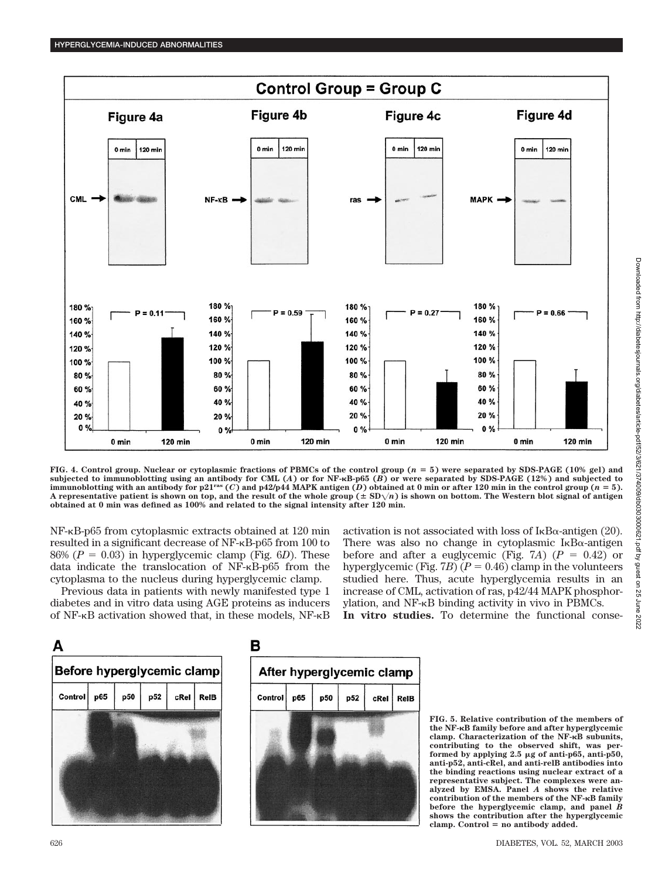

**FIG. 4. Control group. Nuclear or cytoplasmic fractions of PBMCs of the control group (***n* - **5) were separated by SDS-PAGE (10% gel) and subjected to immunoblotting using an antibody for CML (***A***) or for NF-B-p65 (***B***) or were separated by SDS-PAGE (12%) and subjected to** immunoblotting with an antibody for  $p21^{\text{ras}}$  (*C*) and  $p42/p44$  MAPK antigen (*D*) obtained at 0 min or after 120 min in the control group (*n* = 5). A representative patient is shown on top, and the result of the whole group  $(\pm SD\sqrt{n})$  is shown on bottom. The Western blot signal of antigen **obtained at 0 min was defined as 100% and related to the signal intensity after 120 min.**

NF-κB-p65 from cytoplasmic extracts obtained at 120 min resulted in a significant decrease of NF- $\kappa$ B-p65 from 100 to 86%  $(P = 0.03)$  in hyperglycemic clamp (Fig. 6*D*). These data indicate the translocation of  $NF-<sub>K</sub>B-<sub>p</sub>65$  from the cytoplasma to the nucleus during hyperglycemic clamp.

Previous data in patients with newly manifested type 1 diabetes and in vitro data using AGE proteins as inducers of  $NF-\kappa B$  activation showed that, in these models,  $NF-\kappa B$  activation is not associated with loss of  $I_{\kappa}B_{\alpha}$ -antigen (20). There was also no change in cytoplasmic  $I_{\kappa}B_{\alpha}$ -antigen before and after a euglycemic (Fig. 7A)  $(P = 0.42)$  or hyperglycemic (Fig. 7*B*) ( $P = 0.46$ ) clamp in the volunteers studied here. Thus, acute hyperglycemia results in an increase of CML, activation of ras, p42/44 MAPK phosphorylation, and  $NF-\kappa B$  binding activity in vivo in PBMCs.

**In vitro studies.** To determine the functional conse-





**FIG. 5. Relative contribution of the members of the NF-B family before and after hyperglycemic clamp. Characterization of the NF-B subunits, contributing to the observed shift, was performed by applying 2.5 g of anti-p65, anti-p50, anti-p52, anti-cRel, and anti-relB antibodies into the binding reactions using nuclear extract of a representative subject. The complexes were analyzed by EMSA. Panel** *A* **shows the relative contribution of the members of the NF-B family before the hyperglycemic clamp, and panel** *B* **shows the contribution after the hyperglycemic** clamp. Control = no antibody added.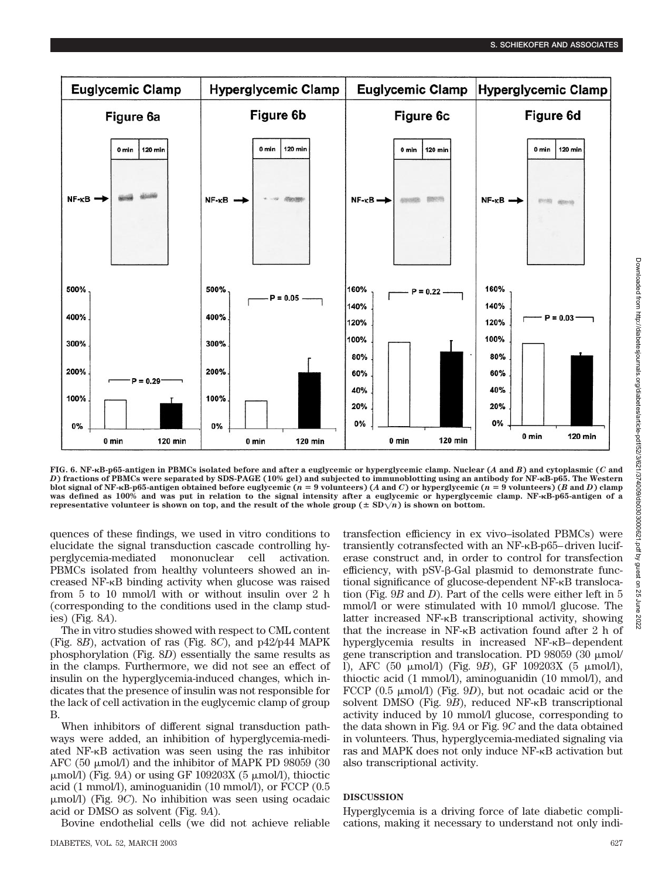

**FIG. 6. NF-B-p65-antigen in PBMCs isolated before and after a euglycemic or hyperglycemic clamp. Nuclear (***A* **and** *B***) and cytoplasmic (***C* **and** *D***) fractions of PBMCs were separated by SDS-PAGE (10% gel) and subjected to immunoblotting using an antibody for NF-B-p65. The Western** blot signal of NF-kB-p65-antigen obtained before euglycemic ( $n = 9$  volunteers) (A and C) or hyperglycemic ( $n = 9$  volunteers) (B and D) clamp **was defined as 100% and was put in relation to the signal intensity after a euglycemic or hyperglycemic clamp. NF-B-p65-antigen of a representative volunteer is shown on top, and the result of the whole group (** $\pm$  **SD** $\sqrt{n}$ **) is shown on bottom.** 

quences of these findings, we used in vitro conditions to elucidate the signal transduction cascade controlling hyperglycemia-mediated mononuclear cell activation. PBMCs isolated from healthy volunteers showed an increased  $NF-\kappa B$  binding activity when glucose was raised from 5 to 10 mmol/l with or without insulin over 2 h (corresponding to the conditions used in the clamp studies) (Fig. 8*A*).

The in vitro studies showed with respect to CML content (Fig. 8*B*), actvation of ras (Fig. 8*C*), and p42/p44 MAPK phosphorylation (Fig. 8*D*) essentially the same results as in the clamps. Furthermore, we did not see an effect of insulin on the hyperglycemia-induced changes, which indicates that the presence of insulin was not responsible for the lack of cell activation in the euglycemic clamp of group B.

When inhibitors of different signal transduction pathways were added, an inhibition of hyperglycemia-mediated NF-KB activation was seen using the ras inhibitor AFC (50  $\mu$ mol/l) and the inhibitor of MAPK PD 98059 (30  $\mu$ mol/l) (Fig. 9*A*) or using GF 109203X (5  $\mu$ mol/l), thioctic acid (1 mmol/l), aminoguanidin (10 mmol/l), or FCCP (0.5 mol/l) (Fig. 9*C*). No inhibition was seen using ocadaic acid or DMSO as solvent (Fig. 9*A*).

Bovine endothelial cells (we did not achieve reliable

transfection efficiency in ex vivo–isolated PBMCs) were transiently cotransfected with an  $NF-\kappa B$ -p65–driven luciferase construct and, in order to control for transfection efficiency, with pSV-ß-Gal plasmid to demonstrate functional significance of glucose-dependent NF- $\kappa$ B translocation (Fig. 9*B* and *D*). Part of the cells were either left in 5 mmol/l or were stimulated with 10 mmol/l glucose. The latter increased  $NF-<sub>K</sub>B$  transcriptional activity, showing that the increase in  $NF-\kappa B$  activation found after 2 h of hyperglycemia results in increased NF-KB–dependent gene transcription and translocation. PD 98059 (30  $\mu$ mol/ l), AFC (50 μmol/l) (Fig. 9B), GF 109203X (5 μmol/l), thioctic acid (1 mmol/l), aminoguanidin (10 mmol/l), and FCCP  $(0.5 \mu \text{mol/l})$  (Fig. 9*D*), but not ocadaic acid or the solvent DMSO (Fig. 9B), reduced NF- $\kappa$ B transcriptional activity induced by 10 mmol/l glucose, corresponding to the data shown in Fig. 9*A* or Fig. 9*C* and the data obtained in volunteers. Thus, hyperglycemia-mediated signaling via ras and MAPK does not only induce NF-KB activation but also transcriptional activity.

### **DISCUSSION**

Hyperglycemia is a driving force of late diabetic complications, making it necessary to understand not only indi-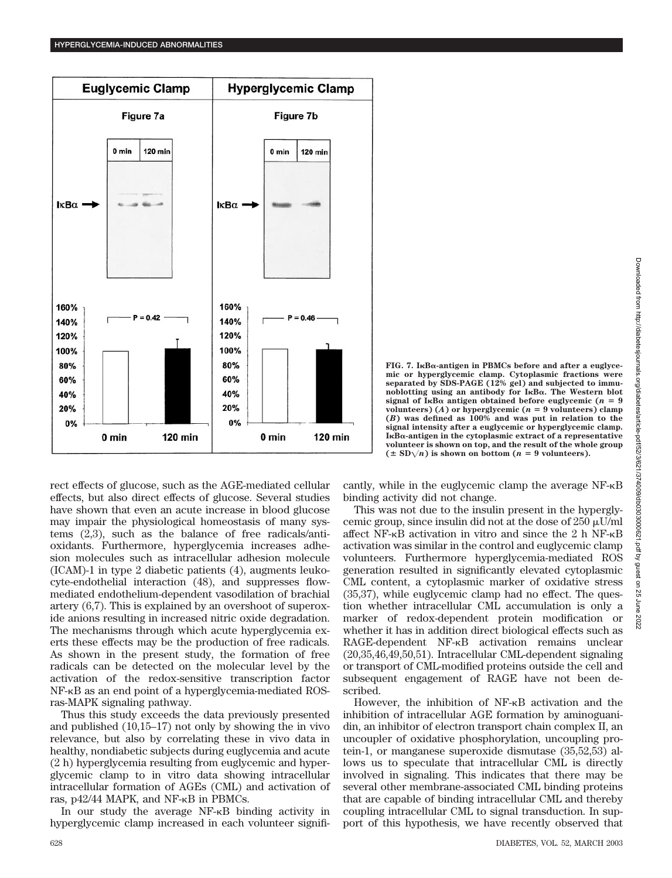

FIG. 7. I<sub>KB $\alpha$ -antigen in PBMCs before and after a euglyce-</sub> **mic or hyperglycemic clamp. Cytoplasmic fractions were separated by SDS-PAGE (12% gel) and subjected to immunoblotting using an antibody for IB. The Western blot**  $\sigma$  **signal of I<sub>K</sub>B** $\alpha$  antigen obtained before euglycemic ( $n = 9$ volunteers)  $(A)$  or hyperglycemic  $(n = 9 \text{ volunteers})$  clamp **(***B***) was defined as 100% and was put in relation to the signal intensity after a euglycemic or hyperglycemic clamp. IB-antigen in the cytoplasmic extract of a representative volunteer is shown on top, and the result of the whole group**  $(\pm SD\sqrt{n})$  **is shown on bottom**  $(n = 9 \text{ volunteers}).$ 

rect effects of glucose, such as the AGE-mediated cellular effects, but also direct effects of glucose. Several studies have shown that even an acute increase in blood glucose may impair the physiological homeostasis of many systems (2,3), such as the balance of free radicals/antioxidants. Furthermore, hyperglycemia increases adhesion molecules such as intracellular adhesion molecule (ICAM)-1 in type 2 diabetic patients (4), augments leukocyte-endothelial interaction (48), and suppresses flowmediated endothelium-dependent vasodilation of brachial artery (6,7). This is explained by an overshoot of superoxide anions resulting in increased nitric oxide degradation. The mechanisms through which acute hyperglycemia exerts these effects may be the production of free radicals. As shown in the present study, the formation of free radicals can be detected on the molecular level by the activation of the redox-sensitive transcription factor NF-KB as an end point of a hyperglycemia-mediated ROSras-MAPK signaling pathway.

Thus this study exceeds the data previously presented and published (10,15–17) not only by showing the in vivo relevance, but also by correlating these in vivo data in healthy, nondiabetic subjects during euglycemia and acute (2 h) hyperglycemia resulting from euglycemic and hyperglycemic clamp to in vitro data showing intracellular intracellular formation of AGEs (CML) and activation of ras,  $p42/44$  MAPK, and NF- $\kappa$ B in PBMCs.

In our study the average  $NF-\kappa B$  binding activity in hyperglycemic clamp increased in each volunteer significantly, while in the euglycemic clamp the average  $NF-\kappa B$ binding activity did not change.

This was not due to the insulin present in the hyperglycemic group, since insulin did not at the dose of  $250 \mu U/ml$ affect NF- $\kappa$ B activation in vitro and since the 2 h NF- $\kappa$ B activation was similar in the control and euglycemic clamp volunteers. Furthermore hyperglycemia-mediated ROS generation resulted in significantly elevated cytoplasmic CML content, a cytoplasmic marker of oxidative stress (35,37), while euglycemic clamp had no effect. The question whether intracellular CML accumulation is only a marker of redox-dependent protein modification or whether it has in addition direct biological effects such as RAGE-dependent NF-KB activation remains unclear (20,35,46,49,50,51). Intracellular CML-dependent signaling or transport of CML-modified proteins outside the cell and subsequent engagement of RAGE have not been described.

However, the inhibition of  $NF-\kappa B$  activation and the inhibition of intracellular AGE formation by aminoguanidin, an inhibitor of electron transport chain complex II, an uncoupler of oxidative phosphorylation, uncoupling protein-1, or manganese superoxide dismutase (35,52,53) allows us to speculate that intracellular CML is directly involved in signaling. This indicates that there may be several other membrane-associated CML binding proteins that are capable of binding intracellular CML and thereby coupling intracellular CML to signal transduction. In support of this hypothesis, we have recently observed that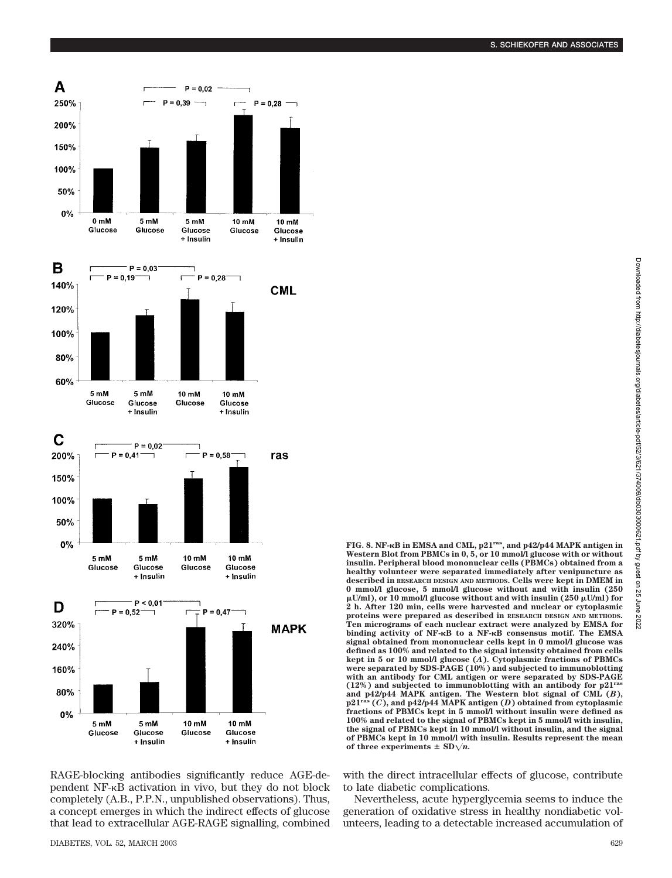

RAGE-blocking antibodies significantly reduce AGE-dependent NF- $\kappa$ B activation in vivo, but they do not block completely (A.B., P.P.N., unpublished observations). Thus, a concept emerges in which the indirect effects of glucose that lead to extracellular AGE-RAGE signalling, combined **Western Blot from PBMCs in 0, 5, or 10 mmol/l glucose with or without insulin. Peripheral blood mononuclear cells (PBMCs) obtained from a healthy volunteer were separated immediately after venipuncture as described in RESEARCH DESIGN AND METHODS. Cells were kept in DMEM in 0 mmol/l glucose, 5 mmol/l glucose without and with insulin (250 U/ml), or 10 mmol/l glucose without and with insulin (250 U/ml) for 2 h. After 120 min, cells were harvested and nuclear or cytoplasmic proteins were prepared as described in RESEARCH DESIGN AND METHODS. Ten micrograms of each nuclear extract were analyzed by EMSA for binding activity of NF-B to a NF-B consensus motif. The EMSA signal obtained from mononuclear cells kept in 0 mmol/l glucose was defined as 100% and related to the signal intensity obtained from cells kept in 5 or 10 mmol/l glucose (***A***). Cytoplasmic fractions of PBMCs were separated by SDS-PAGE (10%) and subjected to immunoblotting with an antibody for CML antigen or were separated by SDS-PAGE (12%) and subjected to immunoblotting with an antibody for p21ras** and  $p42/p44$  MAPK antigen. The Western blot signal of CML  $(B)$ ,  $p21<sup>ras</sup>$   $(C)$ , and  $p42/p44$  MAPK antigen  $(D)$  obtained from cytoplasmic **p21ras (***C***), and p42/p44 MAPK antigen (***D***) obtained from cytoplasmic fractions of PBMCs kept in 5 mmol/l without insulin were defined as 100% and related to the signal of PBMCs kept in 5 mmol/l with insulin, the signal of PBMCs kept in 10 mmol/l without insulin, and the signal of PBMCs kept in 10 mmol/l with insulin. Results represent the mean** of three experiments  $\pm$  SD $\sqrt{n}$ .

**FIG. 8. NF-B in EMSA and CML, p21ras, and p42/p44 MAPK antigen in**

with the direct intracellular effects of glucose, contribute to late diabetic complications.

Nevertheless, acute hyperglycemia seems to induce the generation of oxidative stress in healthy nondiabetic volunteers, leading to a detectable increased accumulation of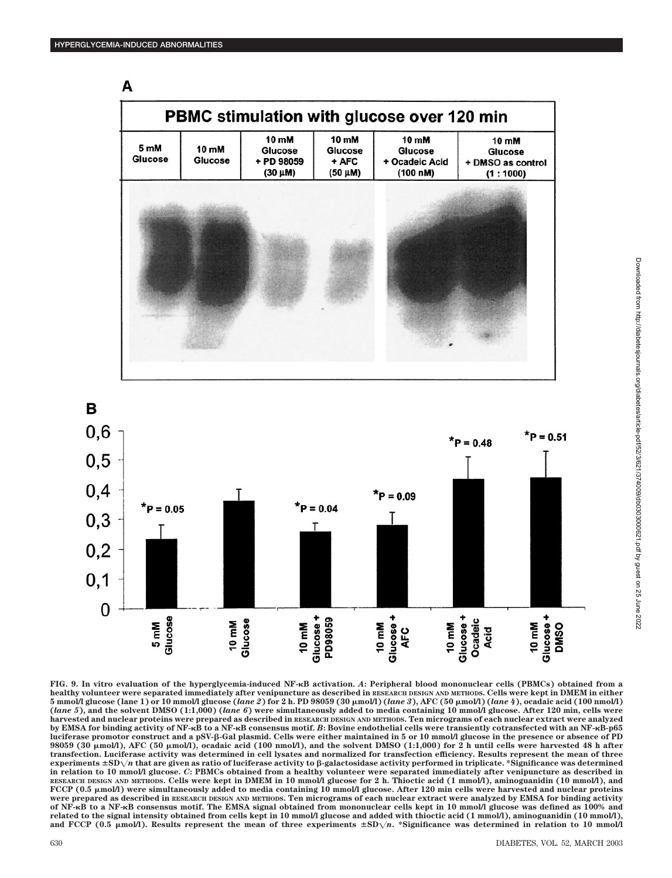

**FIG. 9. In vitro evaluation of the hyperglycemia-induced NF-B activation.** *A***: Peripheral blood mononuclear cells (PBMCs) obtained from a healthy volunteer were separated immediately after venipuncture as described in RESEARCH DESIGN AND METHODS. Cells were kept in DMEM in either 5 mmol/l glucose (lane 1) or 10 mmol/l glucose (***lane 2***) for 2 h. PD 98059 (30 mol/l) (***lane 3***), AFC (50 mol/l) (***lane 4***), ocadaic acid (100 nmol/l) (***lane 5***), and the solvent DMSO (1:1,000) (***lane 6***) were simultaneously added to media containing 10 mmol/l glucose. After 120 min, cells were harvested and nuclear proteins were prepared as described in RESEARCH DESIGN AND METHODS. Ten micrograms of each nuclear extract were analyzed by EMSA for binding activity of NF-B to a NF-B consensus motif.** *B***: Bovine endothelial cells were transiently cotransfected with an NF-B-p65 luciferase promotor construct and a pSV--Gal plasmid. Cells were either maintained in 5 or 10 mmol/l glucose in the presence or absence of PD 98059 (30 mol/l), AFC (50 mol/l), ocadaic acid (100 nmol/l), and the solvent DMSO (1:1,000) for 2 h until cells were harvested 48 h after transfection. Luciferase activity was determined in cell lysates and normalized for transfection efficiency. Results represent the mean of three**  $\epsilon$  **experiments**  $\pm$  SD $\sqrt{n}$  that are given as ratio of luciferase activity to  $\beta$ -galactosidase activity performed in triplicate. \*Significance was determined **in relation to 10 mmol/l glucose.** *C***: PBMCs obtained from a healthy volunteer were separated immediately after venipuncture as described in RESEARCH DESIGN AND METHODS. Cells were kept in DMEM in 10 mmol/l glucose for 2 h. Thioctic acid (1 mmol/l), aminoguanidin (10 mmol/l), and** FCCP (0.5  $\mu$ mol/l) were simultaneously added to media containing 10 mmol/l glucose. After 120 min cells were harvested and nuclear proteins **were prepared as described in RESEARCH DESIGN AND METHODS. Ten micrograms of each nuclear extract were analyzed by EMSA for binding activity of NF-B to a NF-B consensus motif. The EMSA signal obtained from mononuclear cells kept in 10 mmol/l glucose was defined as 100% and related to the signal intensity obtained from cells kept in 10 mmol/l glucose and added with thioctic acid (1 mmol/l), aminoguanidin (10 mmol/l),** and FCCP (0.5  $\mu$ mol/l). Results represent the mean of three experiments  $\pm SD\sqrt{n}$ . \*Significance was determined in relation to 10 mmol/l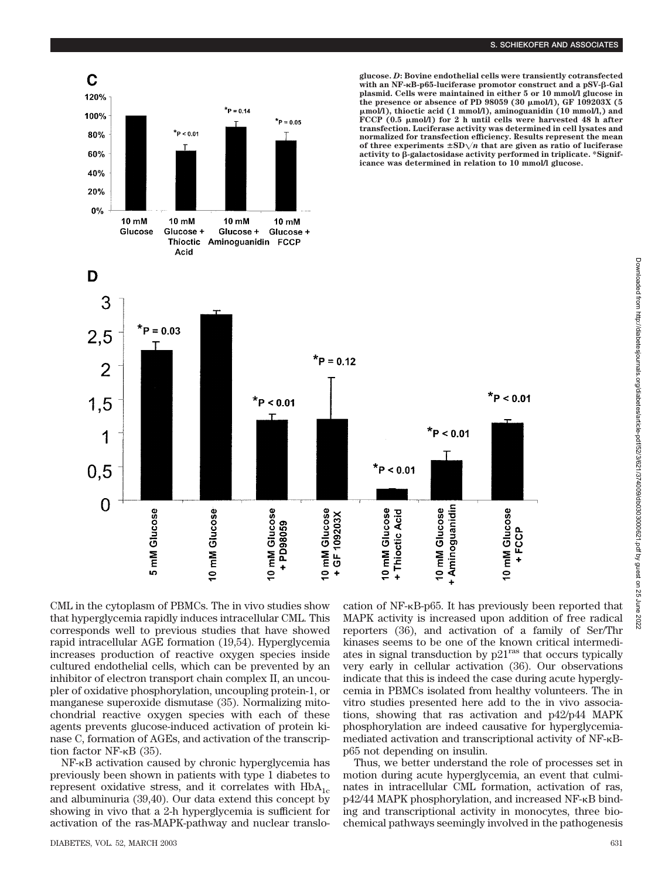

CML in the cytoplasm of PBMCs. The in vivo studies show that hyperglycemia rapidly induces intracellular CML. This corresponds well to previous studies that have showed rapid intracellular AGE formation (19,54). Hyperglycemia increases production of reactive oxygen species inside cultured endothelial cells, which can be prevented by an inhibitor of electron transport chain complex II, an uncoupler of oxidative phosphorylation, uncoupling protein-1, or manganese superoxide dismutase (35). Normalizing mitochondrial reactive oxygen species with each of these agents prevents glucose-induced activation of protein kinase C, formation of AGEs, and activation of the transcription factor  $NF$ - $\kappa$ B (35).

NF- $\kappa$ B activation caused by chronic hyperglycemia has previously been shown in patients with type 1 diabetes to represent oxidative stress, and it correlates with  $HbA_{1c}$ and albuminuria (39,40). Our data extend this concept by showing in vivo that a 2-h hyperglycemia is sufficient for activation of the ras-MAPK-pathway and nuclear translo-

DIABETES, VOL. 52, MARCH 2003 631

cation of NF-KB-p65. It has previously been reported that MAPK activity is increased upon addition of free radical reporters (36), and activation of a family of Ser/Thr kinases seems to be one of the known critical intermediates in signal transduction by  $p21<sup>ras</sup>$  that occurs typically very early in cellular activation (36). Our observations indicate that this is indeed the case during acute hyperglycemia in PBMCs isolated from healthy volunteers. The in vitro studies presented here add to the in vivo associations, showing that ras activation and p42/p44 MAPK phosphorylation are indeed causative for hyperglycemiamediated activation and transcriptional activity of NF- $\kappa$ Bp65 not depending on insulin.

Thus, we better understand the role of processes set in motion during acute hyperglycemia, an event that culminates in intracellular CML formation, activation of ras,  $p42/44$  MAPK phosphorylation, and increased NF- $\kappa$ B binding and transcriptional activity in monocytes, three biochemical pathways seemingly involved in the pathogenesis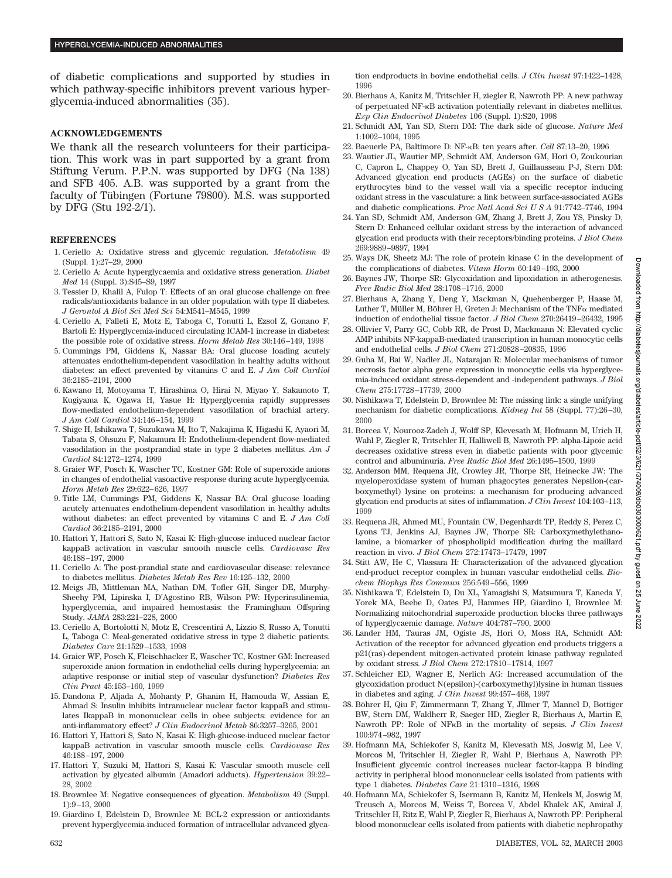of diabetic complications and supported by studies in which pathway-specific inhibitors prevent various hyperglycemia-induced abnormalities (35).

#### **ACKNOWLEDGEMENTS**

We thank all the research volunteers for their participation. This work was in part supported by a grant from Stiftung Verum. P.P.N. was supported by DFG (Na 138) and SFB 405. A.B. was supported by a grant from the faculty of Tübingen (Fortune 79800). M.S. was supported by DFG (Stu 192-2/1).

#### **REFERENCES**

- 1. Ceriello A: Oxidative stress and glycemic regulation. *Metabolism* 49 (Suppl. 1):27–29, 2000
- 2. Ceriello A: Acute hyperglycaemia and oxidative stress generation. *Diabet Med* 14 (Suppl. 3):S45–S9, 1997
- 3. Tessier D, Khalil A, Fulop T: Effects of an oral glucose challenge on free radicals/antioxidants balance in an older population with type II diabetes. *J Gerontol A Biol Sci Med Sci* 54:M541–M545, 1999
- 4. Ceriello A, Falleti E, Motz E, Taboga C, Tonutti L, Ezsol Z, Gonano F, Bartoli E: Hyperglycemia-induced circulating ICAM-1 increase in diabetes: the possible role of oxidative stress. *Horm Metab Res* 30:146–149, 1998
- 5. Cummings PM, Giddens K, Nassar BA: Oral glucose loading acutely attenuates endothelium-dependent vasodilation in healthy adults without diabetes: an effect prevented by vitamins C and E. *J Am Coll Cardiol* 36:2185–2191, 2000
- 6. Kawano H, Motoyama T, Hirashima O, Hirai N, Miyao Y, Sakamoto T, Kugiyama K, Ogawa H, Yasue H: Hyperglycemia rapidly suppresses flow-mediated endothelium-dependent vasodilation of brachial artery. *J Am Coll Cardiol* 34:146–154, 1999
- 7. Shige H, Ishikawa T, Suzukawa M, Ito T, Nakajima K, Higashi K, Ayaori M, Tabata S, Ohsuzu F, Nakamura H: Endothelium-dependent flow-mediated vasodilation in the postprandial state in type 2 diabetes mellitus. *Am J Cardiol* 84:1272–1274, 1999
- 8. Graier WF, Posch K, Wascher TC, Kostner GM: Role of superoxide anions in changes of endothelial vasoactive response during acute hyperglycemia. *Horm Metab Res* 29:622–626, 1997
- 9. Title LM, Cummings PM, Giddens K, Nassar BA: Oral glucose loading acutely attenuates endothelium-dependent vasodilation in healthy adults without diabetes: an effect prevented by vitamins C and E. *J Am Coll Cardiol* 36:2185–2191, 2000
- 10. Hattori Y, Hattori S, Sato N, Kasai K: High-glucose induced nuclear factor kappaB activation in vascular smooth muscle cells. *Cardiovasc Res* 46:188–197, 2000
- 11. Ceriello A: The post-prandial state and cardiovascular disease: relevance to diabetes mellitus. *Diabetes Metab Res Rev* 16:125–132, 2000
- 12. Meigs JB, Mittleman MA, Nathan DM, Tofler GH, Singer DE, Murphy-Sheehy PM, Lipinska I, D'Agostino RB, Wilson PW: Hyperinsulinemia, hyperglycemia, and impaired hemostasis: the Framingham Offspring Study. *JAMA* 283:221–228, 2000
- 13. Ceriello A, Bortolotti N, Motz E, Crescentini A, Lizzio S, Russo A, Tonutti L, Taboga C: Meal-generated oxidative stress in type 2 diabetic patients. *Diabetes Care* 21:1529–1533, 1998
- 14. Graier WF, Posch K, Fleischhacker E, Wascher TC, Kostner GM: Increased superoxide anion formation in endothelial cells during hyperglycemia: an adaptive response or initial step of vascular dysfunction? *Diabetes Res Clin Pract* 45:153–160, 1999
- 15. Dandona P, Aljada A, Mohanty P, Ghanim H, Hamouda W, Assian E, Ahmad S: Insulin inhibits intranuclear nuclear factor kappaB and stimulates IkappaB in mononuclear cells in obee subjects: evidence for an anti-inflammatory effect? *J Clin Endocrinol Metab* 86:3257–3265, 2001
- 16. Hattori Y, Hattori S, Sato N, Kasai K: High-glucose-induced nuclear factor kappaB activation in vascular smooth muscle cells. *Cardiovasc Res* 46:188–197, 2000
- 17. Hattori Y, Suzuki M, Hattori S, Kasai K: Vascular smooth muscle cell activation by glycated albumin (Amadori adducts). *Hypertension* 39:22– 28, 2002
- 18. Brownlee M: Negative consequences of glycation. *Metabolism* 49 (Suppl. 1):9–13, 2000
- 19. Giardino I, Edelstein D, Brownlee M: BCL-2 expression or antioxidants prevent hyperglycemia-induced formation of intracellular advanced glyca-

tion endproducts in bovine endothelial cells. *J Clin Invest* 97:1422–1428, 1996

- 20. Bierhaus A, Kanitz M, Tritschler H, ziegler R, Nawroth PP: A new pathway of perpetuated NF-KB activation potentially relevant in diabetes mellitus. *Exp Clin Endocrinol Diabetes* 106 (Suppl. 1):S20, 1998
- 21. Schmidt AM, Yan SD, Stern DM: The dark side of glucose. *Nature Med* 1:1002–1004, 1995
- 22. Baeuerle PA, Baltimore D: NF-B: ten years after. *Cell* 87:13–20, 1996
- 23. Wautier JL, Wautier MP, Schmidt AM, Anderson GM, Hori O, Zoukourian C, Capron L, Chappey O, Yan SD, Brett J, Guillausseau P-J, Stern DM: Advanced glycation end products (AGEs) on the surface of diabetic erythrocytes bind to the vessel wall via a specific receptor inducing oxidant stress in the vasculature: a link between surface-associated AGEs and diabetic complications. *Proc Natl Acad SciUSA* 91:7742–7746, 1994
- 24. Yan SD, Schmidt AM, Anderson GM, Zhang J, Brett J, Zou YS, Pinsky D, Stern D: Enhanced cellular oxidant stress by the interaction of advanced glycation end products with their receptors/binding proteins. *J Biol Chem* 269:9889–9897, 1994
- 25. Ways DK, Sheetz MJ: The role of protein kinase C in the development of the complications of diabetes. *Vitam Horm* 60:149–193, 2000
- 26. Baynes JW, Thorpe SR: Glycoxidation and lipoxidation in atherogenesis. *Free Radic Biol Med* 28:1708–1716, 2000
- 27. Bierhaus A, Zhang Y, Deng Y, Mackman N, Quehenberger P, Haase M, Luther T, Müller M, Böhrer H, Greten J: Mechanism of the  $TNF\alpha$  mediated induction of endothelial tissue factor. *J Biol Chem* 270:26419–26432, 1995
- 28. Ollivier V, Parry GC, Cobb RR, de Prost D, Mackmann N: Elevated cyclic AMP inhibits NF-kappaB-mediated transcription in human monocytic cells and endothelial cells. *J Biol Chem* 271:20828–20835, 1996
- 29. Guha M, Bai W, Nadler JL, Natarajan R: Molecular mechanisms of tumor necrosis factor alpha gene expression in monocytic cells via hyperglycemia-induced oxidant stress-dependent and -independent pathways. *J Biol Chem* 275:17728–17739, 2000
- 30. Nishikawa T, Edelstein D, Brownlee M: The missing link: a single unifying mechanism for diabetic complications. *Kidney Int* 58 (Suppl. 77):26–30, 2000
- 31. Borcea V, Nourooz-Zadeh J, Wolff SP, Klevesath M, Hofmann M, Urich H, Wahl P, Ziegler R, Tritschler H, Halliwell B, Nawroth PP: alpha-Lipoic acid decreases oxidative stress even in diabetic patients with poor glycemic control and albuminuria. *Free Radic Biol Med* 26:1495–1500, 1999
- 32. Anderson MM, Requena JR, Crowley JR, Thorpe SR, Heinecke JW: The myeloperoxidase system of human phagocytes generates Nepsilon-(carboxymethyl) lysine on proteins: a mechanism for producing advanced glycation end products at sites of inflammation. *J Clin Invest* 104:103–113, 1999
- 33. Requena JR, Ahmed MU, Fountain CW, Degenhardt TP, Reddy S, Perez C, Lyons TJ, Jenkins AJ, Baynes JW, Thorpe SR: Carboxymethylethanolamine, a biomarker of phospholipid modification during the maillard reaction in vivo. *J Biol Chem* 272:17473–17479, 1997
- 34. Stitt AW, He C, Vlassara H: Characterization of the advanced glycation end-product receptor complex in human vascular endothelial cells. *Biochem Biophys Res Commun* 256:549–556, 1999
- 35. Nishikawa T, Edelstein D, Du XL, Yamagishi S, Matsumura T, Kaneda Y, Yorek MA, Beebe D, Oates PJ, Hammes HP, Giardino I, Brownlee M: Normalizing mitochondrial superoxide production blocks three pathways of hyperglycaemic damage. *Nature* 404:787–790, 2000
- 36. Lander HM, Tauras JM, Ogiste JS, Hori O, Moss RA, Schmidt AM: Activation of the receptor for advanced glycation end products triggers a p21(ras)-dependent mitogen-activated protein kinase pathway regulated by oxidant stress. *J Biol Chem* 272:17810–17814, 1997
- 37. Schleicher ED, Wagner E, Nerlich AG: Increased accumulation of the glycoxidation product N(epsilon)-(carboxymethyl)lysine in human tissues in diabetes and aging. *J Clin Invest* 99:457–468, 1997
- 38. Böhrer H, Qiu F, Zimmermann T, Zhang Y, Jllmer T, Mannel D, Bottiger BW, Stern DM, Waldherr R, Saeger HD, Ziegler R, Bierhaus A, Martin E, Nawroth PP: Role of NF<sub>K</sub>B in the mortality of sepsis. *J Clin Invest* 100:974–982, 1997
- 39. Hofmann MA, Schiekofer S, Kanitz M, Klevesath MS, Joswig M, Lee V, Morcos M, Tritschler H, Ziegler R, Wahl P, Bierhaus A, Nawroth PP: Insufficient glycemic control increases nuclear factor-kappa B binding activity in peripheral blood mononuclear cells isolated from patients with type 1 diabetes. *Diabetes Care* 21:1310–1316, 1998
- 40. Hofmann MA, Schiekofer S, Isermann B, Kanitz M, Henkels M, Joswig M, Treusch A, Morcos M, Weiss T, Borcea V, Abdel Khalek AK, Amiral J, Tritschler H, Ritz E, Wahl P, Ziegler R, Bierhaus A, Nawroth PP: Peripheral blood mononuclear cells isolated from patients with diabetic nephropathy